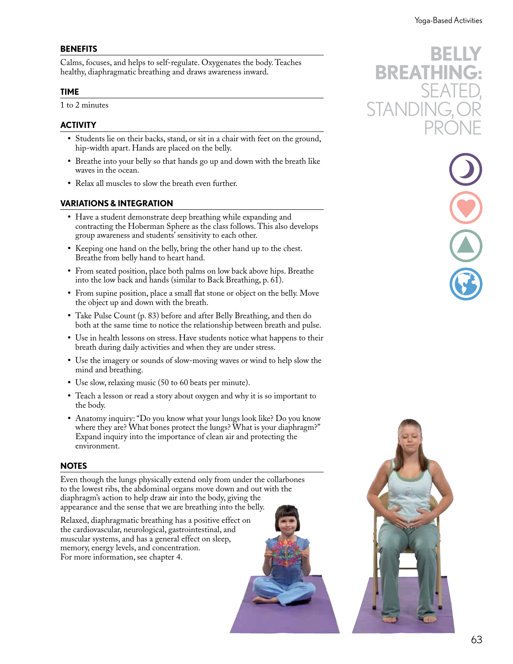### **BENEFITS**

Calms, focuses, and helps to self-regulate. Oxygenates the body. Teaches healthy, diaphragmatic breathing and draws awareness inward.

#### **TIME**

1 to 2 minutes

## **ACTIVITY**

- **•** Students lie on their backs, stand, or sit in a chair with feet on the ground, hip-width apart. Hands are placed on the belly.
- **•** Breathe into your belly so that hands go up and down with the breath like waves in the ocean.
- **•** Relax all muscles to slow the breath even further.

# **VARIATIONS & INTEGRATION**

- **•** Have a student demonstrate deep breathing while expanding and contracting the Hoberman Sphere as the class follows. This also develops group awareness and students' sensitivity to each other.
- **•** Keeping one hand on the belly, bring the other hand up to the chest. Breathe from belly hand to heart hand.
- **•** From seated position, place both palms on low back above hips. Breathe into the low back and hands (similar to Back Breathing, p. 61).
- **•** From supine position, place a small flat stone or object on the belly. Move the object up and down with the breath.
- **•** Take Pulse Count (p. 83) before and after Belly Breathing, and then do both at the same time to notice the relationship between breath and pulse.
- **•** Use in health lessons on stress. Have students notice what happens to their breath during daily activities and when they are under stress.
- **•** Use the imagery or sounds of slow-moving waves or wind to help slow the mind and breathing.
- **•** Use slow, relaxing music (50 to 60 beats per minute).
- **•** Teach a lesson or read a story about oxygen and why it is so important to the body.
- **•** Anatomy inquiry: "Do you know what your lungs look like? Do you know where they are? What bones protect the lungs? What is your diaphragm?" Expand inquiry into the importance of clean air and protecting the environment.

## **NOTES**

Even though the lungs physically extend only from under the collarbones to the lowest ribs, the abdominal organs move down and out with the diaphragm's action to help draw air into the body, giving the appearance and the sense that we are breathing into the belly.

Relaxed, diaphragmatic breathing has a positive effect on the cardiovascular, neurological, gastrointestinal, and muscular systems, and has a general effect on sleep, memory, energy levels, and concentration. For more information, see chapter 4.







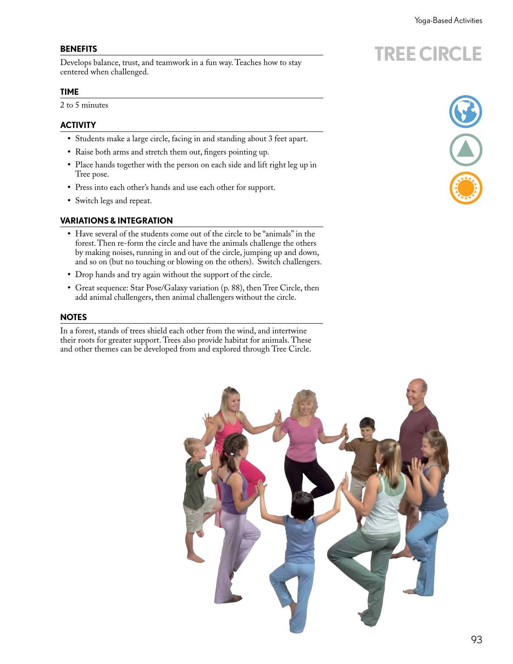**TREE CIRCLE**

### **BENEFITS**

Develops balance, trust, and teamwork in a fun way. Teaches how to stay centered when challenged.

#### **TIME**

2 to 5 minutes

# **ACTIVITY**

- **•** Students make a large circle, facing in and standing about 3 feet apart.
- **•** Raise both arms and stretch them out, fingers pointing up.
- **•** Place hands together with the person on each side and lift right leg up in Tree pose.
- **•** Press into each other's hands and use each other for support.
- **•** Switch legs and repeat.

## **VARIATIONS & INTEGRATION**

- **•** Have several of the students come out of the circle to be "animals" in the forest. Then re-form the circle and have the animals challenge the others by making noises, running in and out of the circle, jumping up and down, and so on (but no touching or blowing on the others). Switch challengers.
- **•** Drop hands and try again without the support of the circle.
- **•** Great sequence: Star Pose/Galaxy variation (p. 88), then Tree Circle, then add animal challengers, then animal challengers without the circle.

#### **NOTES**

In a forest, stands of trees shield each other from the wind, and intertwine their roots for greater support. Trees also provide habitat for animals. These and other themes can be developed from and explored through Tree Circle.